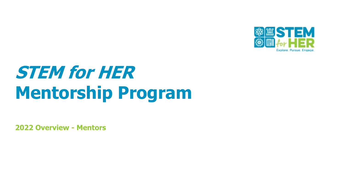

# **STEM for HER Mentorship Program**

**2022 Overview - Mentors**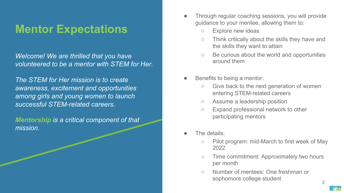### **Mentor Expectations**

*Welcome! We are thrilled that you have volunteered to be a mentor with STEM for Her.*

*The STEM for Her mission is to create awareness, excitement and opportunities among girls and young women to launch successful STEM-related careers.* 

*Mentorship is a critical component of that mission.* 

- Through regular coaching sessions, you will provide guidance to your mentee, allowing them to:
	- Explore new ideas
	- Think critically about the skills they have and the skills they want to attain
	- Be curious about the world and opportunities around them
- Benefits to being a mentor:
	- Give back to the next generation of women entering STEM-related careers
	- Assume a leadership position
	- Expand professional network to other participating mentors
- The details:
	- Pilot program: mid-March to first week of May 2022
	- Time commitment: Approximately two hours per month
	- Number of mentees: One freshman or sophomore college student 2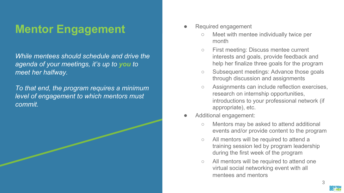### **Mentor Engagement**

*While mentees should schedule and drive the agenda of your meetings, it's up to you to meet her halfway.*

*To that end, the program requires a minimum level of engagement to which mentors must commit.*

- Required engagement
	- Meet with mentee individually twice per month
	- First meeting: Discuss mentee current interests and goals, provide feedback and help her finalize three goals for the program
	- Subsequent meetings: Advance those goals through discussion and assignments
	- Assignments can include reflection exercises, research on internship opportunities, introductions to your professional network (if appropriate), etc.
- Additional engagement:
	- Mentors may be asked to attend additional events and/or provide content to the program
	- All mentors will be required to attend a training session led by program leadership during the first week of the program
	- All mentors will be required to attend one virtual social networking event with all mentees and mentors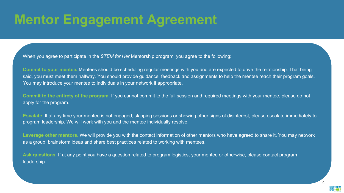## **Mentor Engagement Agreement**

When you agree to participate in the *STEM for Her* Mentorship program, you agree to the following:

**Commit to your mentee.** Mentees should be scheduling regular meetings with you and are expected to drive the relationship. That being said, you must meet them halfway. You should provide guidance, feedback and assignments to help the mentee reach their program goals. You may introduce your mentee to individuals in your network if appropriate.

**Commit to the entirety of the program.** If you cannot commit to the full session and required meetings with your mentee, please do not apply for the program.

**Escalate.** If at any time your mentee is not engaged, skipping sessions or showing other signs of disinterest, please escalate immediately to program leadership. We will work with you and the mentee individually resolve.

**Leverage other mentors.** We will provide you with the contact information of other mentors who have agreed to share it. You may network as a group, brainstorm ideas and share best practices related to working with mentees.

**Ask questions.** If at any point you have a question related to program logistics, your mentee or otherwise, please contact program leadership.

4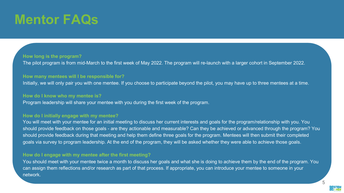# **Mentor FAQs**

#### **How long is the program?**

The pilot program is from mid-March to the first week of May 2022. The program will re-launch with a larger cohort in September 2022.

#### **How many mentees will I be responsible for?**

Initially, we will only pair you with one mentee. If you choose to participate beyond the pilot, you may have up to three mentees at a time.

#### **How do I know who my mentee is?**

Program leadership will share your mentee with you during the first week of the program.

#### **How do I initially engage with my mentee?**

You will meet with your mentee for an initial meeting to discuss her current interests and goals for the program/relationship with you. You should provide feedback on those goals - are they actionable and measurable? Can they be achieved or advanced through the program? You should provide feedback during that meeting and help them define three goals for the program. Mentees will then submit their completed goals via survey to program leadership. At the end of the program, they will be asked whether they were able to achieve those goals.

#### **How do I engage with my mentee after the first meeting?**

You should meet with your mentee twice a month to discuss her goals and what she is doing to achieve them by the end of the program. You can assign them reflections and/or research as part of that process. If appropriate, you can introduce your mentee to someone in your network.

5